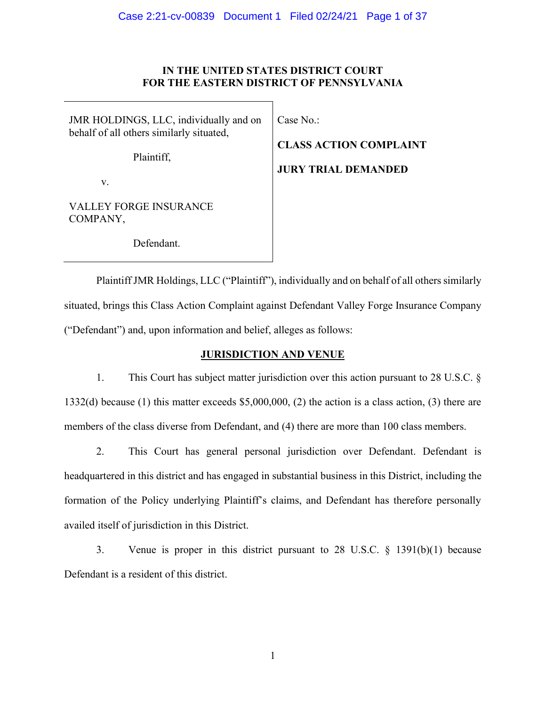#### **IN THE UNITED STATES DISTRICT COURT FOR THE EASTERN DISTRICT OF PENNSYLVANIA**

JMR HOLDINGS, LLC, individually and on behalf of all others similarly situated,

Plaintiff,

Case No.:

**CLASS ACTION COMPLAINT**

# **JURY TRIAL DEMANDED**

v.

VALLEY FORGE INSURANCE COMPANY,

Defendant.

Plaintiff JMR Holdings, LLC ("Plaintiff"), individually and on behalf of all others similarly situated, brings this Class Action Complaint against Defendant Valley Forge Insurance Company ("Defendant") and, upon information and belief, alleges as follows:

# **JURISDICTION AND VENUE**

1. This Court has subject matter jurisdiction over this action pursuant to 28 U.S.C. § 1332(d) because (1) this matter exceeds \$5,000,000, (2) the action is a class action, (3) there are members of the class diverse from Defendant, and (4) there are more than 100 class members.

2. This Court has general personal jurisdiction over Defendant. Defendant is headquartered in this district and has engaged in substantial business in this District, including the formation of the Policy underlying Plaintiff's claims, and Defendant has therefore personally availed itself of jurisdiction in this District.

3. Venue is proper in this district pursuant to 28 U.S.C. § 1391(b)(1) because Defendant is a resident of this district.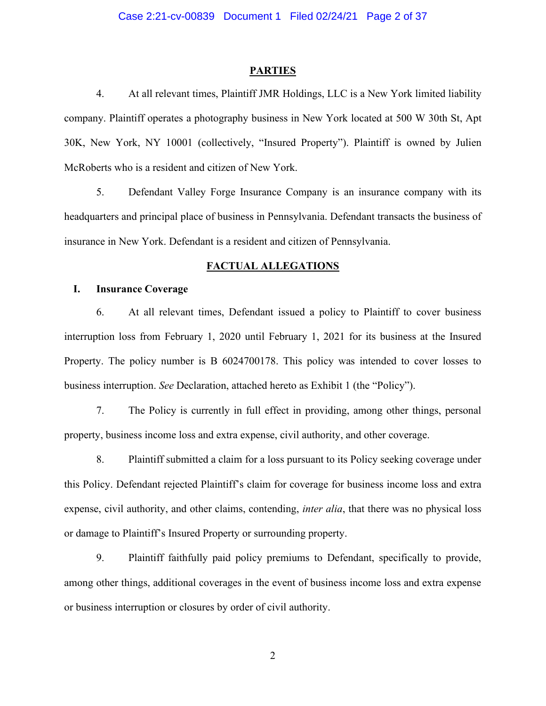#### **PARTIES**

4. At all relevant times, Plaintiff JMR Holdings, LLC is a New York limited liability company. Plaintiff operates a photography business in New York located at 500 W 30th St, Apt 30K, New York, NY 10001 (collectively, "Insured Property"). Plaintiff is owned by Julien McRoberts who is a resident and citizen of New York.

5. Defendant Valley Forge Insurance Company is an insurance company with its headquarters and principal place of business in Pennsylvania. Defendant transacts the business of insurance in New York. Defendant is a resident and citizen of Pennsylvania.

#### **FACTUAL ALLEGATIONS**

#### **I. Insurance Coverage**

6. At all relevant times, Defendant issued a policy to Plaintiff to cover business interruption loss from February 1, 2020 until February 1, 2021 for its business at the Insured Property. The policy number is B 6024700178. This policy was intended to cover losses to business interruption. *See* Declaration, attached hereto as Exhibit 1 (the "Policy").

7. The Policy is currently in full effect in providing, among other things, personal property, business income loss and extra expense, civil authority, and other coverage.

8. Plaintiff submitted a claim for a loss pursuant to its Policy seeking coverage under this Policy. Defendant rejected Plaintiff's claim for coverage for business income loss and extra expense, civil authority, and other claims, contending, *inter alia*, that there was no physical loss or damage to Plaintiff's Insured Property or surrounding property.

9. Plaintiff faithfully paid policy premiums to Defendant, specifically to provide, among other things, additional coverages in the event of business income loss and extra expense or business interruption or closures by order of civil authority.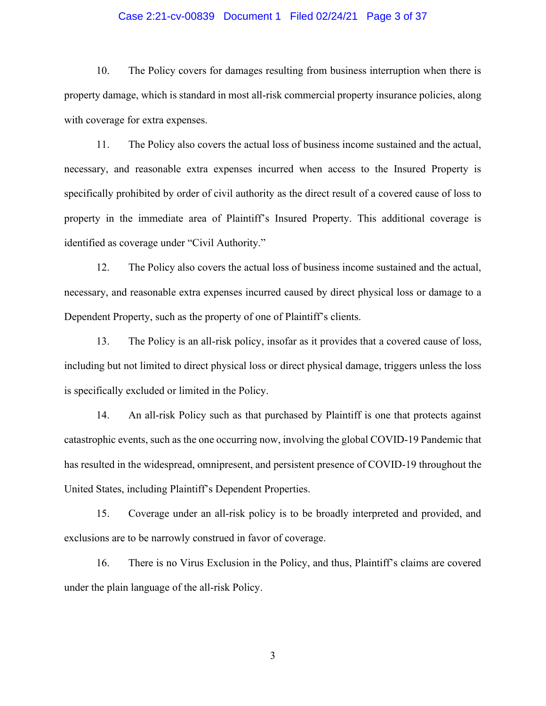#### Case 2:21-cv-00839 Document 1 Filed 02/24/21 Page 3 of 37

10. The Policy covers for damages resulting from business interruption when there is property damage, which is standard in most all-risk commercial property insurance policies, along with coverage for extra expenses.

11. The Policy also covers the actual loss of business income sustained and the actual, necessary, and reasonable extra expenses incurred when access to the Insured Property is specifically prohibited by order of civil authority as the direct result of a covered cause of loss to property in the immediate area of Plaintiff's Insured Property. This additional coverage is identified as coverage under "Civil Authority."

12. The Policy also covers the actual loss of business income sustained and the actual, necessary, and reasonable extra expenses incurred caused by direct physical loss or damage to a Dependent Property, such as the property of one of Plaintiff's clients.

13. The Policy is an all-risk policy, insofar as it provides that a covered cause of loss, including but not limited to direct physical loss or direct physical damage, triggers unless the loss is specifically excluded or limited in the Policy.

14. An all-risk Policy such as that purchased by Plaintiff is one that protects against catastrophic events, such as the one occurring now, involving the global COVID-19 Pandemic that has resulted in the widespread, omnipresent, and persistent presence of COVID-19 throughout the United States, including Plaintiff's Dependent Properties.

15. Coverage under an all-risk policy is to be broadly interpreted and provided, and exclusions are to be narrowly construed in favor of coverage.

16. There is no Virus Exclusion in the Policy, and thus, Plaintiff's claims are covered under the plain language of the all-risk Policy.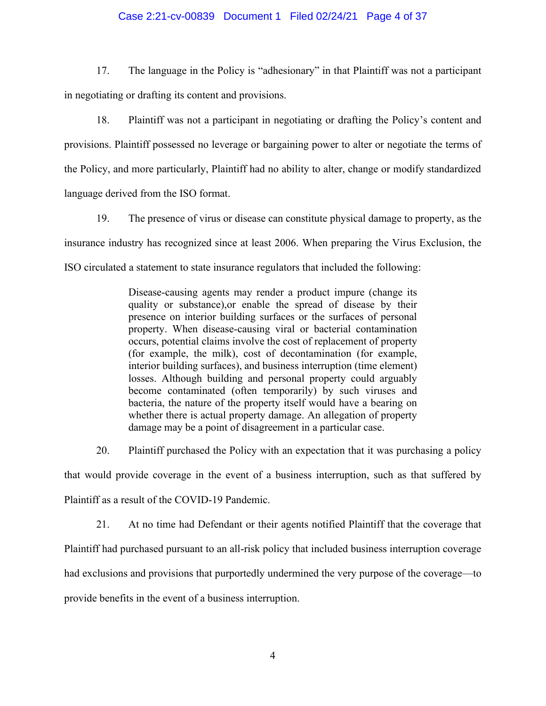#### Case 2:21-cv-00839 Document 1 Filed 02/24/21 Page 4 of 37

17. The language in the Policy is "adhesionary" in that Plaintiff was not a participant in negotiating or drafting its content and provisions.

18. Plaintiff was not a participant in negotiating or drafting the Policy's content and provisions. Plaintiff possessed no leverage or bargaining power to alter or negotiate the terms of the Policy, and more particularly, Plaintiff had no ability to alter, change or modify standardized language derived from the ISO format.

19. The presence of virus or disease can constitute physical damage to property, as the insurance industry has recognized since at least 2006. When preparing the Virus Exclusion, the ISO circulated a statement to state insurance regulators that included the following:

> Disease-causing agents may render a product impure (change its quality or substance),or enable the spread of disease by their presence on interior building surfaces or the surfaces of personal property. When disease-causing viral or bacterial contamination occurs, potential claims involve the cost of replacement of property (for example, the milk), cost of decontamination (for example, interior building surfaces), and business interruption (time element) losses. Although building and personal property could arguably become contaminated (often temporarily) by such viruses and bacteria, the nature of the property itself would have a bearing on whether there is actual property damage. An allegation of property damage may be a point of disagreement in a particular case.

20. Plaintiff purchased the Policy with an expectation that it was purchasing a policy that would provide coverage in the event of a business interruption, such as that suffered by Plaintiff as a result of the COVID-19 Pandemic.

21. At no time had Defendant or their agents notified Plaintiff that the coverage that

Plaintiff had purchased pursuant to an all-risk policy that included business interruption coverage

had exclusions and provisions that purportedly undermined the very purpose of the coverage—to

provide benefits in the event of a business interruption.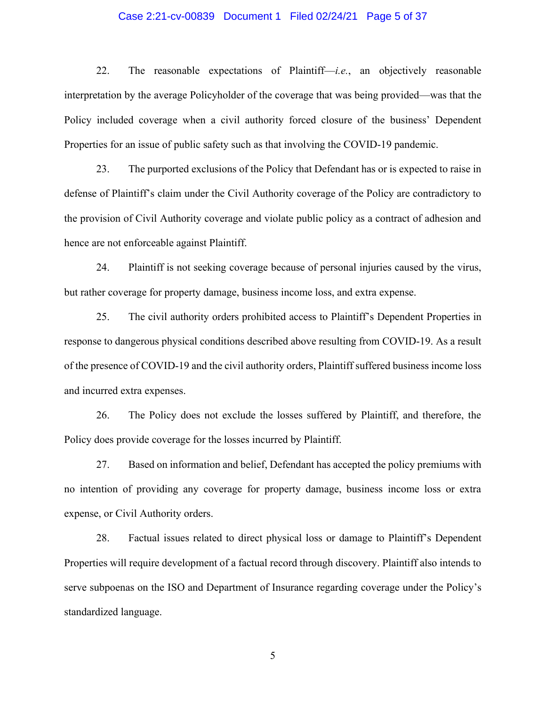#### Case 2:21-cv-00839 Document 1 Filed 02/24/21 Page 5 of 37

22. The reasonable expectations of Plaintiff—*i.e.*, an objectively reasonable interpretation by the average Policyholder of the coverage that was being provided—was that the Policy included coverage when a civil authority forced closure of the business' Dependent Properties for an issue of public safety such as that involving the COVID-19 pandemic.

23. The purported exclusions of the Policy that Defendant has or is expected to raise in defense of Plaintiff's claim under the Civil Authority coverage of the Policy are contradictory to the provision of Civil Authority coverage and violate public policy as a contract of adhesion and hence are not enforceable against Plaintiff.

24. Plaintiff is not seeking coverage because of personal injuries caused by the virus, but rather coverage for property damage, business income loss, and extra expense.

25. The civil authority orders prohibited access to Plaintiff's Dependent Properties in response to dangerous physical conditions described above resulting from COVID-19. As a result of the presence of COVID-19 and the civil authority orders, Plaintiff suffered business income loss and incurred extra expenses.

26. The Policy does not exclude the losses suffered by Plaintiff, and therefore, the Policy does provide coverage for the losses incurred by Plaintiff.

27. Based on information and belief, Defendant has accepted the policy premiums with no intention of providing any coverage for property damage, business income loss or extra expense, or Civil Authority orders.

28. Factual issues related to direct physical loss or damage to Plaintiff's Dependent Properties will require development of a factual record through discovery. Plaintiff also intends to serve subpoenas on the ISO and Department of Insurance regarding coverage under the Policy's standardized language.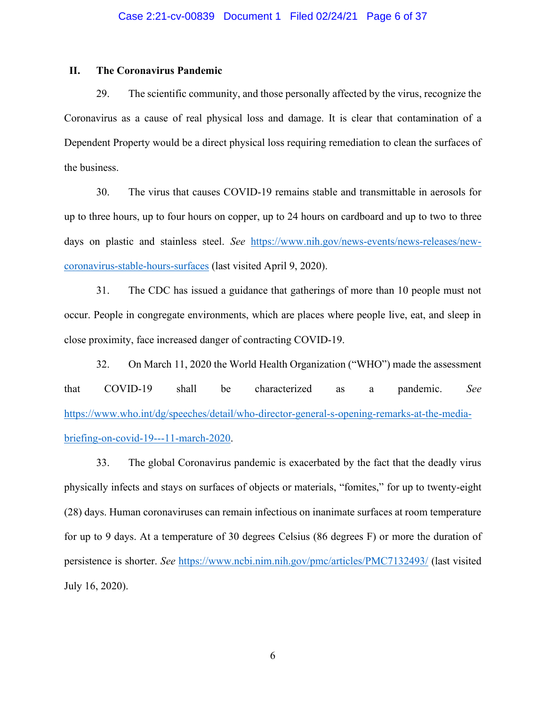#### **II. The Coronavirus Pandemic**

29. The scientific community, and those personally affected by the virus, recognize the Coronavirus as a cause of real physical loss and damage. It is clear that contamination of a Dependent Property would be a direct physical loss requiring remediation to clean the surfaces of the business.

30. The virus that causes COVID-19 remains stable and transmittable in aerosols for up to three hours, up to four hours on copper, up to 24 hours on cardboard and up to two to three days on plastic and stainless steel. *See* [https://www.nih.gov/news-events/news-releases/new](https://www.nih.gov/news-events/news-releases/new-coronavirus-stable-hours-surfaces)[coronavirus-stable-hours-surfaces](https://www.nih.gov/news-events/news-releases/new-coronavirus-stable-hours-surfaces) (last visited April 9, 2020).

31. The CDC has issued a guidance that gatherings of more than 10 people must not occur. People in congregate environments, which are places where people live, eat, and sleep in close proximity, face increased danger of contracting COVID-19.

32. On March 11, 2020 the World Health Organization ("WHO") made the assessment that COVID-19 shall be characterized as a pandemic. *See*  [https://www.who.int/dg/speeches/detail/who-director-general-s-opening-remarks-at-the-media](https://www.who.int/dg/speeches/detail/who-director-general-s-opening-remarks-at-the-media-briefing-on-covid-19---11-march-2020)[briefing-on-covid-19---11-march-2020.](https://www.who.int/dg/speeches/detail/who-director-general-s-opening-remarks-at-the-media-briefing-on-covid-19---11-march-2020)

33. The global Coronavirus pandemic is exacerbated by the fact that the deadly virus physically infects and stays on surfaces of objects or materials, "fomites," for up to twenty-eight (28) days. Human coronaviruses can remain infectious on inanimate surfaces at room temperature for up to 9 days. At a temperature of 30 degrees Celsius (86 degrees F) or more the duration of persistence is shorter. *See* <https://www.ncbi.nim.nih.gov/pmc/articles/PMC7132493/> (last visited July 16, 2020).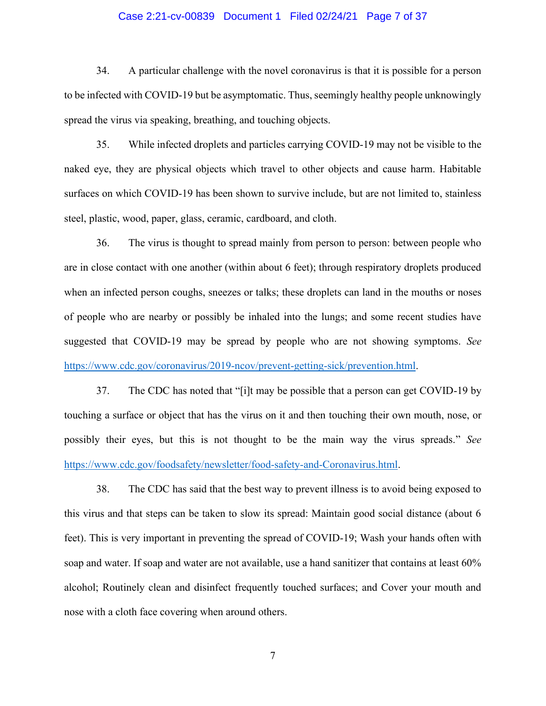#### Case 2:21-cv-00839 Document 1 Filed 02/24/21 Page 7 of 37

34. A particular challenge with the novel coronavirus is that it is possible for a person to be infected with COVID-19 but be asymptomatic. Thus, seemingly healthy people unknowingly spread the virus via speaking, breathing, and touching objects.

35. While infected droplets and particles carrying COVID-19 may not be visible to the naked eye, they are physical objects which travel to other objects and cause harm. Habitable surfaces on which COVID-19 has been shown to survive include, but are not limited to, stainless steel, plastic, wood, paper, glass, ceramic, cardboard, and cloth.

36. The virus is thought to spread mainly from person to person: between people who are in close contact with one another (within about 6 feet); through respiratory droplets produced when an infected person coughs, sneezes or talks; these droplets can land in the mouths or noses of people who are nearby or possibly be inhaled into the lungs; and some recent studies have suggested that COVID-19 may be spread by people who are not showing symptoms. *See* [https://www.cdc.gov/coronavirus/2019-ncov/prevent-getting-sick/prevention.html.](https://www.cdc.gov/coronavirus/2019-ncov/prevent-getting-sick/prevention.html)

37. The CDC has noted that "[i]t may be possible that a person can get COVID-19 by touching a surface or object that has the virus on it and then touching their own mouth, nose, or possibly their eyes, but this is not thought to be the main way the virus spreads.´ *See* [https://www.cdc.gov/foodsafety/newsletter/food-safety-and-Coronavirus.html.](https://www.cdc.gov/foodsafety/newsletter/food-safety-and-Coronavirus.html)

38. The CDC has said that the best way to prevent illness is to avoid being exposed to this virus and that steps can be taken to slow its spread: Maintain good social distance (about 6 feet). This is very important in preventing the spread of COVID-19; Wash your hands often with soap and water. If soap and water are not available, use a hand sanitizer that contains at least 60% alcohol; Routinely clean and disinfect frequently touched surfaces; and Cover your mouth and nose with a cloth face covering when around others.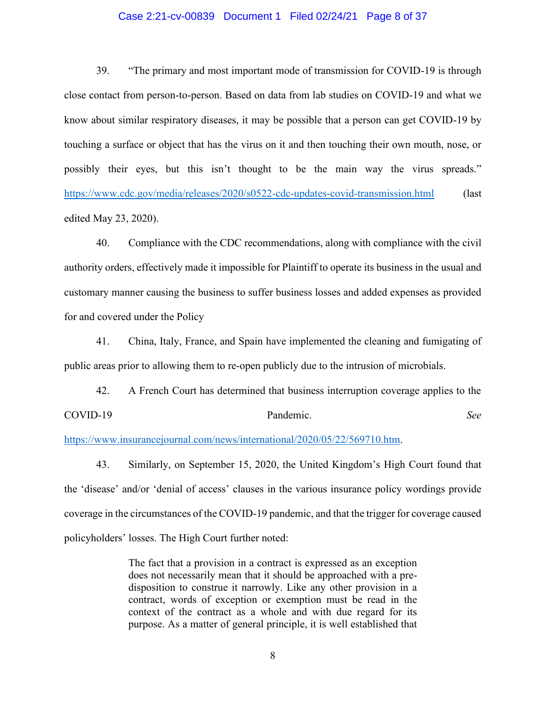#### Case 2:21-cv-00839 Document 1 Filed 02/24/21 Page 8 of 37

39. **The primary and most important mode of transmission for COVID-19 is through** close contact from person-to-person. Based on data from lab studies on COVID-19 and what we know about similar respiratory diseases, it may be possible that a person can get COVID-19 by touching a surface or object that has the virus on it and then touching their own mouth, nose, or possibly their eyes, but this isn't thought to be the main way the virus spreads." <https://www.cdc.gov/media/releases/2020/s0522-cdc-updates-covid-transmission.html> (last edited May 23, 2020).

40. Compliance with the CDC recommendations, along with compliance with the civil authority orders, effectively made it impossible for Plaintiff to operate its business in the usual and customary manner causing the business to suffer business losses and added expenses as provided for and covered under the Policy

41. China, Italy, France, and Spain have implemented the cleaning and fumigating of public areas prior to allowing them to re-open publicly due to the intrusion of microbials.

42. A French Court has determined that business interruption coverage applies to the COVID-19 Pandemic. *See*

[https://www.insurancejournal.com/news/international/2020/05/22/569710.htm.](https://www.insurancejournal.com/news/international/2020/05/22/569710.htm)

43. Similarly, on September 15, 2020, the United Kingdom's High Court found that the 'disease' and/or 'denial of access' clauses in the various insurance policy wordings provide coverage in the circumstances of the COVID-19 pandemic, and that the trigger for coverage caused policyholders' losses. The High Court further noted:

> The fact that a provision in a contract is expressed as an exception does not necessarily mean that it should be approached with a predisposition to construe it narrowly. Like any other provision in a contract, words of exception or exemption must be read in the context of the contract as a whole and with due regard for its purpose. As a matter of general principle, it is well established that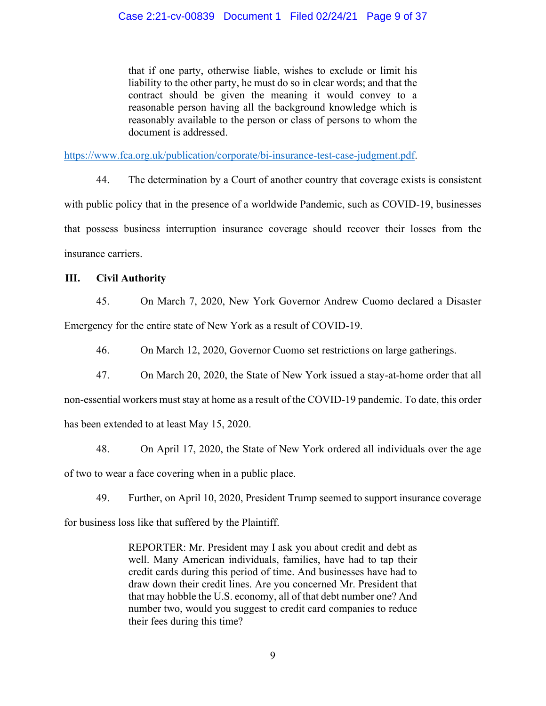that if one party, otherwise liable, wishes to exclude or limit his liability to the other party, he must do so in clear words; and that the contract should be given the meaning it would convey to a reasonable person having all the background knowledge which is reasonably available to the person or class of persons to whom the document is addressed.

[https://www.fca.org.uk/publication/corporate/bi-insurance-test-case-judgment.pdf.](https://www.fca.org.uk/publication/corporate/bi-insurance-test-case-judgment.pdf)

44. The determination by a Court of another country that coverage exists is consistent with public policy that in the presence of a worldwide Pandemic, such as COVID-19, businesses that possess business interruption insurance coverage should recover their losses from the insurance carriers.

#### **III. Civil Authority**

45. On March 7, 2020, New York Governor Andrew Cuomo declared a Disaster Emergency for the entire state of New York as a result of COVID-19.

46. On March 12, 2020, Governor Cuomo set restrictions on large gatherings.

47. On March 20, 2020, the State of New York issued a stay-at-home order that all

non-essential workers must stay at home as a result of the COVID-19 pandemic. To date, this order has been extended to at least May 15, 2020.

48. On April 17, 2020, the State of New York ordered all individuals over the age of two to wear a face covering when in a public place.

49. Further, on April 10, 2020, President Trump seemed to support insurance coverage

for business loss like that suffered by the Plaintiff.

REPORTER: Mr. President may I ask you about credit and debt as well. Many American individuals, families, have had to tap their credit cards during this period of time. And businesses have had to draw down their credit lines. Are you concerned Mr. President that that may hobble the U.S. economy, all of that debt number one? And number two, would you suggest to credit card companies to reduce their fees during this time?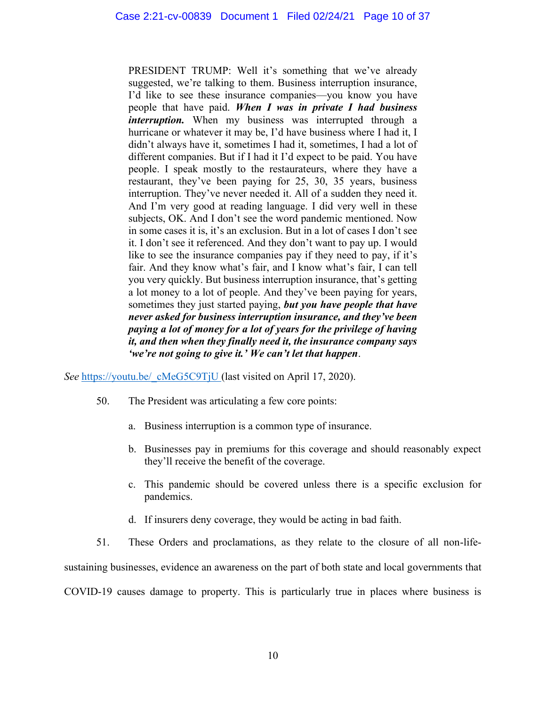PRESIDENT TRUMP: Well it's something that we've already suggested, we're talking to them. Business interruption insurance, I'd like to see these insurance companies—you know you have people that have paid. *When I was in private I had business interruption*. When my business was interrupted through a hurricane or whatever it may be, I'd have business where I had it, I didn't always have it, sometimes I had it, sometimes, I had a lot of different companies. But if I had it I'd expect to be paid. You have people. I speak mostly to the restaurateurs, where they have a restaurant, they've been paying for 25, 30, 35 years, business interruption. They've never needed it. All of a sudden they need it. And I'm very good at reading language. I did very well in these subjects, OK. And I don't see the word pandemic mentioned. Now in some cases it is, it's an exclusion. But in a lot of cases I don't see it. I don't see it referenced. And they don't want to pay up. I would like to see the insurance companies pay if they need to pay, if it's fair. And they know what's fair, and I know what's fair, I can tell you very quickly. But business interruption insurance, that's getting a lot money to a lot of people. And they've been paying for years, sometimes they just started paying, *but you have people that have never asked for business interruption insurance, and they've been paying a lot of money for a lot of years for the privilege of having it, and then when they finally need it, the insurance company says 'we're not going to give it.' We can't let that happen*.

*See* https://youtu.be/ cMeG5C9TjU (last visited on April 17, 2020).

- 50. The President was articulating a few core points:
	- a. Business interruption is a common type of insurance.
	- b. Businesses pay in premiums for this coverage and should reasonably expect they'll receive the benefit of the coverage.
	- c. This pandemic should be covered unless there is a specific exclusion for pandemics.
	- d. If insurers deny coverage, they would be acting in bad faith.
- 51. These Orders and proclamations, as they relate to the closure of all non-life-

sustaining businesses, evidence an awareness on the part of both state and local governments that

COVID-19 causes damage to property. This is particularly true in places where business is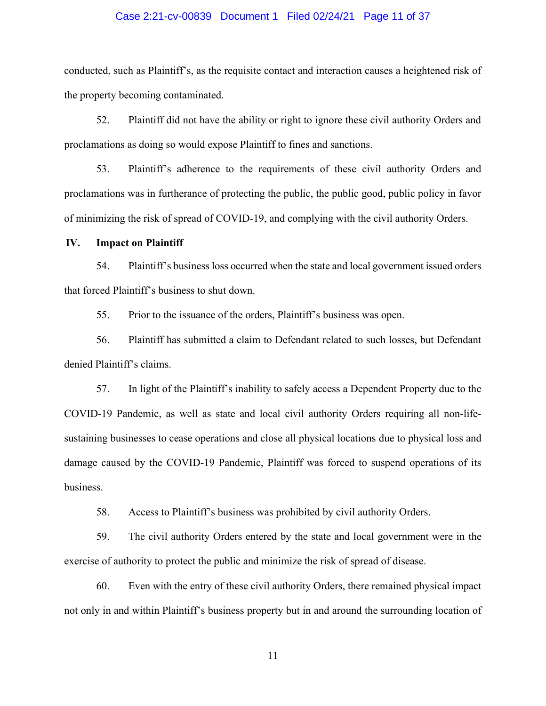#### Case 2:21-cv-00839 Document 1 Filed 02/24/21 Page 11 of 37

conducted, such as Plaintiff's, as the requisite contact and interaction causes a heightened risk of the property becoming contaminated.

52. Plaintiff did not have the ability or right to ignore these civil authority Orders and proclamations as doing so would expose Plaintiff to fines and sanctions.

53. Plaintiff's adherence to the requirements of these civil authority Orders and proclamations was in furtherance of protecting the public, the public good, public policy in favor of minimizing the risk of spread of COVID-19, and complying with the civil authority Orders.

#### **IV. Impact on Plaintiff**

54. Plaint four Subsidiess loss occurred when the state and local government issued orders that forced Plaintiff's business to shut down.

55. Prior to the issuance of the orders, Plaintiff's business was open.

56. Plaintiff has submitted a claim to Defendant related to such losses, but Defendant denied Plaintiff's claims.

57. In light of the Plaintiff's inability to safely access a Dependent Property due to the COVID-19 Pandemic, as well as state and local civil authority Orders requiring all non-lifesustaining businesses to cease operations and close all physical locations due to physical loss and damage caused by the COVID-19 Pandemic, Plaintiff was forced to suspend operations of its business.

58. Access to Plaintiff's business was prohibited by civil authority Orders.

59. The civil authority Orders entered by the state and local government were in the exercise of authority to protect the public and minimize the risk of spread of disease.

60. Even with the entry of these civil authority Orders, there remained physical impact not only in and within Plaintiff's business property but in and around the surrounding location of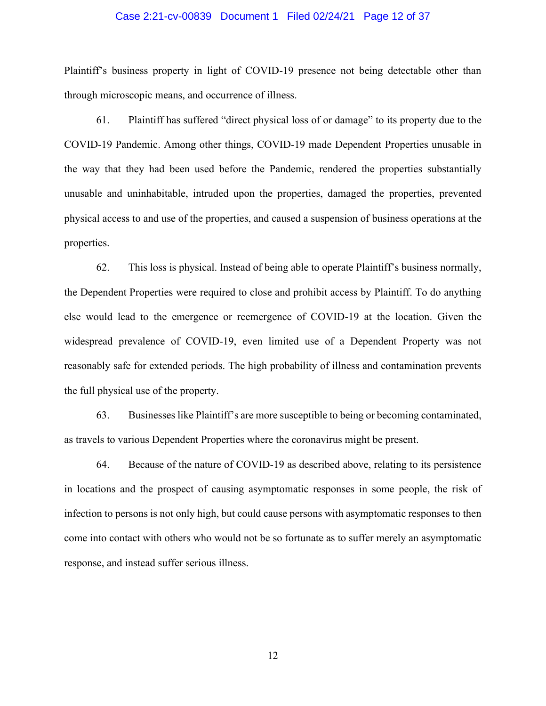#### Case 2:21-cv-00839 Document 1 Filed 02/24/21 Page 12 of 37

Plaintiff's business property in light of COVID-19 presence not being detectable other than through microscopic means, and occurrence of illness.

61. Plaintiff has suffered "direct physical loss of or damage" to its property due to the COVID-19 Pandemic. Among other things, COVID-19 made Dependent Properties unusable in the way that they had been used before the Pandemic, rendered the properties substantially unusable and uninhabitable, intruded upon the properties, damaged the properties, prevented physical access to and use of the properties, and caused a suspension of business operations at the properties.

62. This loss is physical. Instead of being able to operate Plaintiff's business normally, the Dependent Properties were required to close and prohibit access by Plaintiff. To do anything else would lead to the emergence or reemergence of COVID-19 at the location. Given the widespread prevalence of COVID-19, even limited use of a Dependent Property was not reasonably safe for extended periods. The high probability of illness and contamination prevents the full physical use of the property.

63. Businesses like Plaintiff's are more susceptible to being or becoming contaminated, as travels to various Dependent Properties where the coronavirus might be present.

64. Because of the nature of COVID-19 as described above, relating to its persistence in locations and the prospect of causing asymptomatic responses in some people, the risk of infection to persons is not only high, but could cause persons with asymptomatic responses to then come into contact with others who would not be so fortunate as to suffer merely an asymptomatic response, and instead suffer serious illness.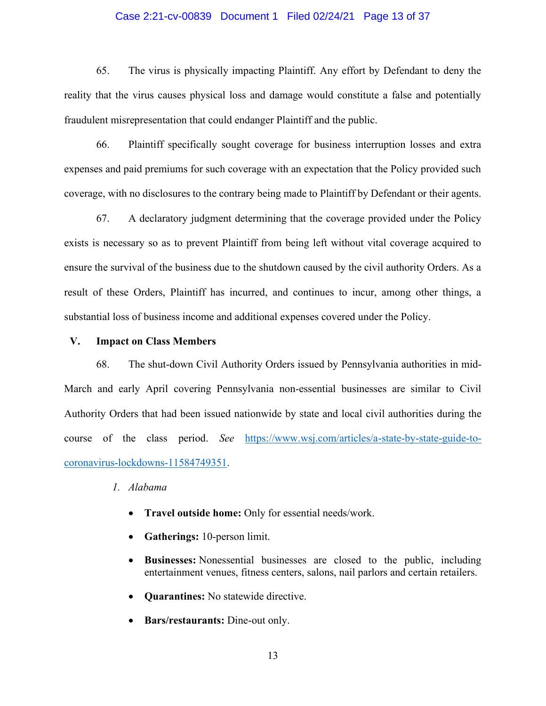#### Case 2:21-cv-00839 Document 1 Filed 02/24/21 Page 13 of 37

65. The virus is physically impacting Plaintiff. Any effort by Defendant to deny the reality that the virus causes physical loss and damage would constitute a false and potentially fraudulent misrepresentation that could endanger Plaintiff and the public.

66. Plaintiff specifically sought coverage for business interruption losses and extra expenses and paid premiums for such coverage with an expectation that the Policy provided such coverage, with no disclosures to the contrary being made to Plaintiff by Defendant or their agents.

67. A declaratory judgment determining that the coverage provided under the Policy exists is necessary so as to prevent Plaintiff from being left without vital coverage acquired to ensure the survival of the business due to the shutdown caused by the civil authority Orders. As a result of these Orders, Plaintiff has incurred, and continues to incur, among other things, a substantial loss of business income and additional expenses covered under the Policy.

#### **V. Impact on Class Members**

68. The shut-down Civil Authority Orders issued by Pennsylvania authorities in mid-March and early April covering Pennsylvania non-essential businesses are similar to Civil Authority Orders that had been issued nationwide by state and local civil authorities during the course of the class period. *See* [https://www.wsj.com/articles/a-state-by-state-guide-to](https://www.wsj.com/articles/a-state-by-state-guide-to-coronavirus-lockdowns-11584749351)[coronavirus-lockdowns-11584749351.](https://www.wsj.com/articles/a-state-by-state-guide-to-coronavirus-lockdowns-11584749351)

#### *1. Alabama*

- x **Travel outside home:** Only for essential needs/work.
- **Gatherings:** 10-person limit.
- x **Businesses:** Nonessential businesses are closed to the public, including entertainment venues, fitness centers, salons, nail parlors and certain retailers.
- **Quarantines:** No statewide directive.
- x **Bars/restaurants:** Dine-out only.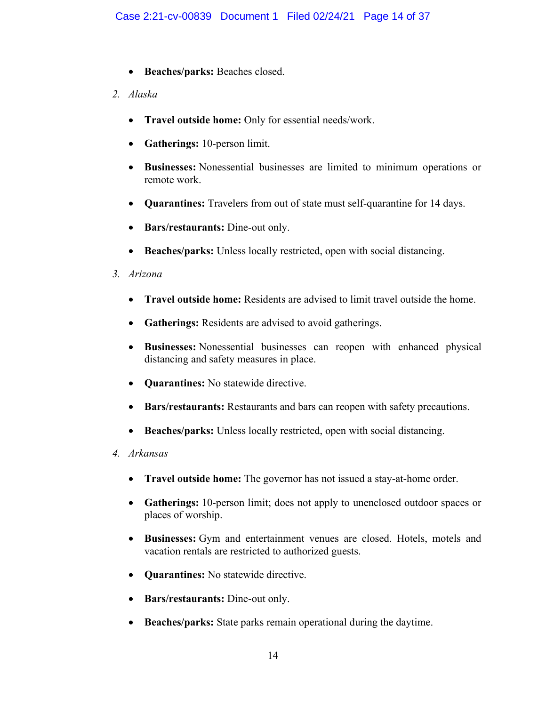- **•** Beaches/parks: Beaches closed.
- *2. Alaska*
	- x **Travel outside home:** Only for essential needs/work.
	- **Gatherings:** 10-person limit.
	- x **Businesses:** Nonessential businesses are limited to minimum operations or remote work.
	- x **Quarantines:** Travelers from out of state must self-quarantine for 14 days.
	- **Bars/restaurants:** Dine-out only.
	- **Beaches/parks:** Unless locally restricted, open with social distancing.
- *3. Arizona*
	- x **Travel outside home:** Residents are advised to limit travel outside the home.
	- **Gatherings:** Residents are advised to avoid gatherings.
	- x **Businesses:** Nonessential businesses can reopen with enhanced physical distancing and safety measures in place.
	- **Quarantines:** No statewide directive.
	- x **Bars/restaurants:** Restaurants and bars can reopen with safety precautions.
	- Beaches/parks: Unless locally restricted, open with social distancing.
- *4. Arkansas*
	- **Travel outside home:** The governor has not issued a stay-at-home order.
	- **Gatherings:** 10-person limit; does not apply to unenclosed outdoor spaces or places of worship.
	- x **Businesses:** Gym and entertainment venues are closed. Hotels, motels and vacation rentals are restricted to authorized guests.
	- **Quarantines:** No statewide directive.
	- **Bars/restaurants:** Dine-out only.
	- **Beaches/parks:** State parks remain operational during the daytime.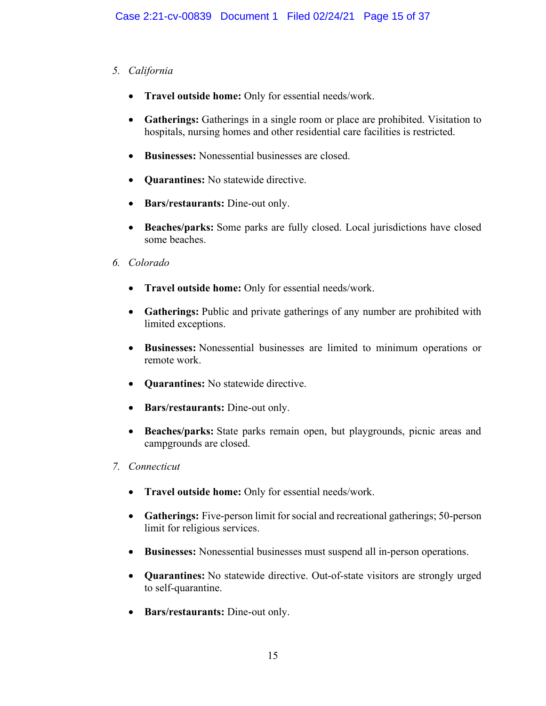# *5. California*

- x **Travel outside home:** Only for essential needs/work.
- Gatherings: Gatherings in a single room or place are prohibited. Visitation to hospitals, nursing homes and other residential care facilities is restricted.
- **Eusinesses:** Nonessential businesses are closed
- **Quarantines:** No statewide directive.
- **Bars/restaurants:** Dine-out only.
- **Beaches/parks:** Some parks are fully closed. Local jurisdictions have closed some beaches.
- *6. Colorado*
	- x **Travel outside home:** Only for essential needs/work.
	- Gatherings: Public and private gatherings of any number are prohibited with limited exceptions.
	- x **Businesses:** Nonessential businesses are limited to minimum operations or remote work.
	- **Ouarantines:** No statewide directive.
	- **Bars/restaurants:** Dine-out only.
	- **Beaches/parks:** State parks remain open, but playgrounds, picnic areas and campgrounds are closed.
- *7. Connecticut*
	- x **Travel outside home:** Only for essential needs/work.
	- Gatherings: Five-person limit for social and recreational gatherings; 50-person limit for religious services.
	- x **Businesses:** Nonessential businesses must suspend all in-person operations.
	- x **Quarantines:** No statewide directive. Out-of-state visitors are strongly urged to self-quarantine.
	- Bars/restaurants: Dine-out only.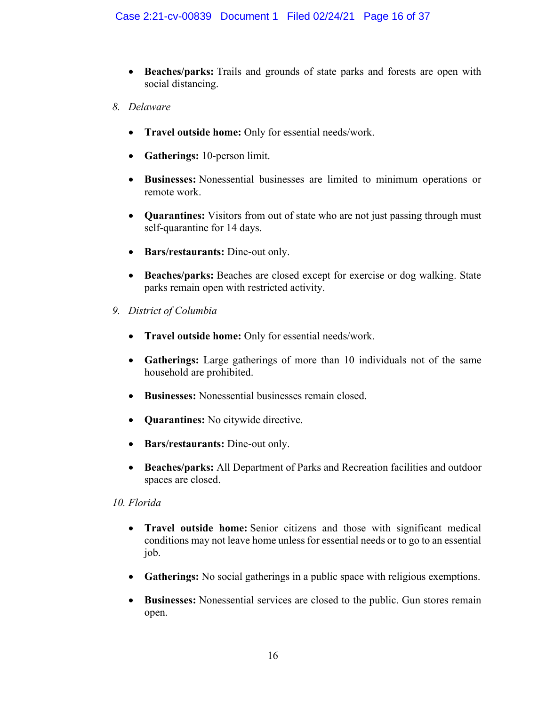- Beaches/parks: Trails and grounds of state parks and forests are open with social distancing.
- *8. Delaware*
	- x **Travel outside home:** Only for essential needs/work.
	- **Gatherings:** 10-person limit.
	- x **Businesses:** Nonessential businesses are limited to minimum operations or remote work.
	- **Quarantines:** Visitors from out of state who are not just passing through must self-quarantine for 14 days.
	- **Bars/restaurants:** Dine-out only.
	- x **Beaches/parks:** Beaches are closed except for exercise or dog walking. State parks remain open with restricted activity.
- *9. District of Columbia*
	- x **Travel outside home:** Only for essential needs/work.
	- Gatherings: Large gatherings of more than 10 individuals not of the same household are prohibited.
	- Businesses: Nonessential businesses remain closed.
	- **• Quarantines:** No citywide directive.
	- **Bars/restaurants:** Dine-out only.
	- x **Beaches/parks:** All Department of Parks and Recreation facilities and outdoor spaces are closed.

# *10. Florida*

- x **Travel outside home:** Senior citizens and those with significant medical conditions may not leave home unless for essential needs or to go to an essential job.
- Gatherings: No social gatherings in a public space with religious exemptions.
- x **Businesses:** Nonessential services are closed to the public. Gun stores remain open.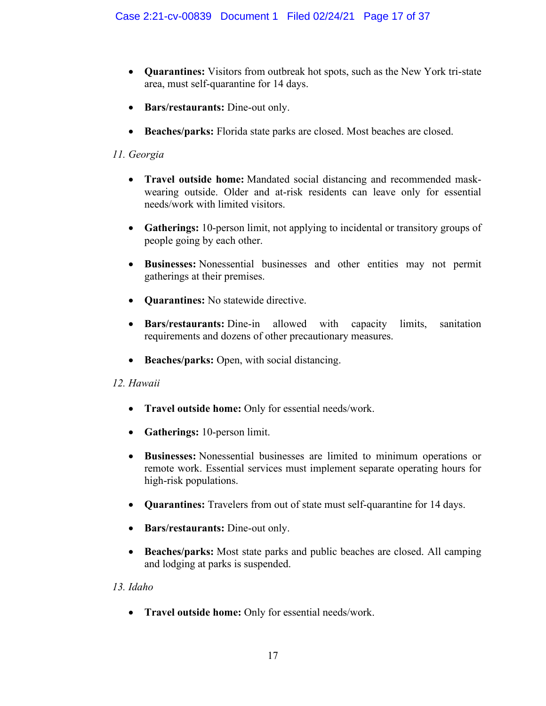- x **Quarantines:** Visitors from outbreak hot spots, such as the New York tri-state area, must self-quarantine for 14 days.
- Bars/restaurants: Dine-out only.
- **Beaches/parks:** Florida state parks are closed. Most beaches are closed.

# *11. Georgia*

- **Travel outside home:** Mandated social distancing and recommended maskwearing outside. Older and at-risk residents can leave only for essential needs/work with limited visitors.
- **Gatherings:** 10-person limit, not applying to incidental or transitory groups of people going by each other.
- x **Businesses:** Nonessential businesses and other entities may not permit gatherings at their premises.
- **Ouarantines:** No statewide directive.
- **Bars/restaurants:** Dine-in allowed with capacity limits, sanitation requirements and dozens of other precautionary measures.
- Beaches/parks: Open, with social distancing.

# *12. Hawaii*

- x **Travel outside home:** Only for essential needs/work.
- **Gatherings:** 10-person limit.
- x **Businesses:** Nonessential businesses are limited to minimum operations or remote work. Essential services must implement separate operating hours for high-risk populations.
- **Quarantines:** Travelers from out of state must self-quarantine for 14 days.
- **Bars/restaurants:** Dine-out only.
- **Beaches/parks:** Most state parks and public beaches are closed. All camping and lodging at parks is suspended.

# *13. Idaho*

x **Travel outside home:** Only for essential needs/work.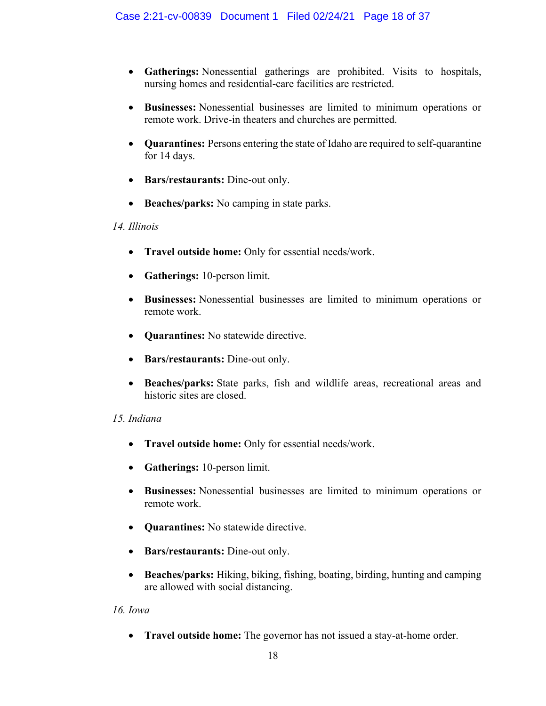- x **Gatherings:** Nonessential gatherings are prohibited. Visits to hospitals, nursing homes and residential-care facilities are restricted.
- x **Businesses:** Nonessential businesses are limited to minimum operations or remote work. Drive-in theaters and churches are permitted.
- x **Quarantines:** Persons entering the state of Idaho are required to self-quarantine for 14 days.
- **Bars/restaurants:** Dine-out only.
- Beaches/parks: No camping in state parks.

#### *14. Illinois*

- x **Travel outside home:** Only for essential needs/work.
- **Gatherings:** 10-person limit.
- x **Businesses:** Nonessential businesses are limited to minimum operations or remote work.
- **Quarantines:** No statewide directive.
- **Bars/restaurants:** Dine-out only.
- x **Beaches/parks:** State parks, fish and wildlife areas, recreational areas and historic sites are closed.

#### *15. Indiana*

- x **Travel outside home:** Only for essential needs/work.
- **Gatherings:** 10-person limit.
- x **Businesses:** Nonessential businesses are limited to minimum operations or remote work.
- **Quarantines:** No statewide directive.
- **Bars/restaurants:** Dine-out only.
- x **Beaches/parks:** Hiking, biking, fishing, boating, birding, hunting and camping are allowed with social distancing.

#### *16. Iowa*

• **Travel outside home:** The governor has not issued a stay-at-home order.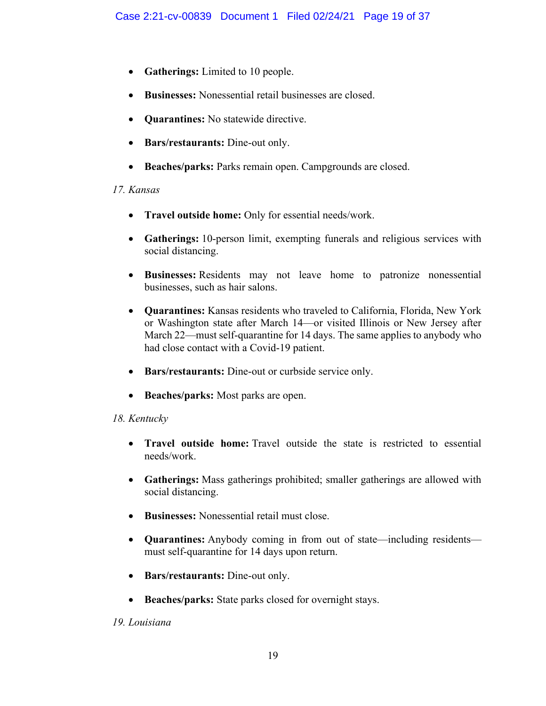- **Gatherings:** Limited to 10 people.
- x **Businesses:** Nonessential retail businesses are closed.
- **Quarantines:** No statewide directive.
- **Bars/restaurants:** Dine-out only.
- **Beaches/parks:** Parks remain open. Campgrounds are closed.

# *17. Kansas*

- x **Travel outside home:** Only for essential needs/work.
- x **Gatherings:** 10-person limit, exempting funerals and religious services with social distancing.
- x **Businesses:** Residents may not leave home to patronize nonessential businesses, such as hair salons.
- x **Quarantines:** Kansas residents who traveled to California, Florida, New York or Washington state after March 14—or visited Illinois or New Jersey after March 22—must self-quarantine for 14 days. The same applies to anybody who had close contact with a Covid-19 patient.
- **Bars/restaurants:** Dine-out or curbside service only.
- **Beaches/parks:** Most parks are open.

# *18. Kentucky*

- x **Travel outside home:** Travel outside the state is restricted to essential needs/work.
- x **Gatherings:** Mass gatherings prohibited; smaller gatherings are allowed with social distancing.
- x **Businesses:** Nonessential retail must close.
- Quarantines: Anybody coming in from out of state—including residents must self-quarantine for 14 days upon return.
- **Bars/restaurants:** Dine-out only.
- **Beaches/parks:** State parks closed for overnight stays.

# *19. Louisiana*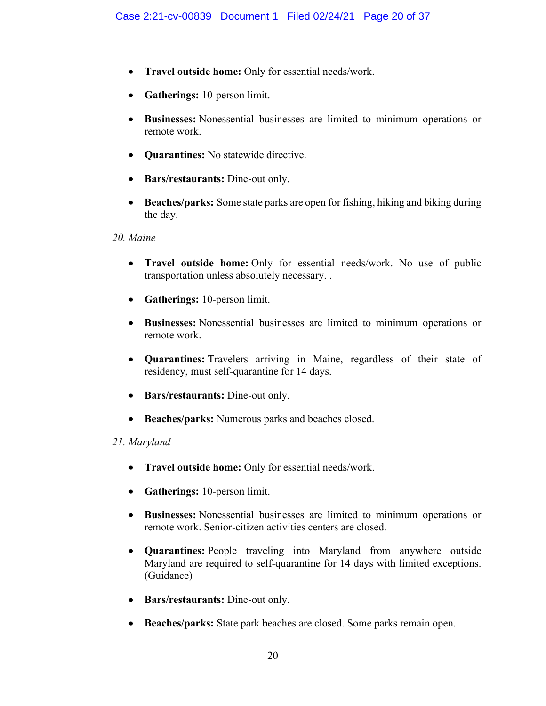- x **Travel outside home:** Only for essential needs/work.
- **Gatherings:** 10-person limit.
- x **Businesses:** Nonessential businesses are limited to minimum operations or remote work.
- **Quarantines:** No statewide directive.
- **Bars/restaurants:** Dine-out only.
- **Beaches/parks:** Some state parks are open for fishing, hiking and biking during the day.
- *20. Maine*
	- x **Travel outside home:** Only for essential needs/work. No use of public transportation unless absolutely necessary. .
	- **Gatherings:** 10-person limit.
	- x **Businesses:** Nonessential businesses are limited to minimum operations or remote work.
	- **Quarantines:** Travelers arriving in Maine, regardless of their state of residency, must self-quarantine for 14 days.
	- **Bars/restaurants:** Dine-out only.
	- **Beaches/parks:** Numerous parks and beaches closed.

# *21. Maryland*

- x **Travel outside home:** Only for essential needs/work.
- **Gatherings:** 10-person limit.
- x **Businesses:** Nonessential businesses are limited to minimum operations or remote work. Senior-citizen activities centers are closed.
- x **Quarantines:** People traveling into Maryland from anywhere outside Maryland are required to self-quarantine for 14 days with limited exceptions. (Guidance)
- **Bars/restaurants:** Dine-out only.
- x **Beaches/parks:** State park beaches are closed. Some parks remain open.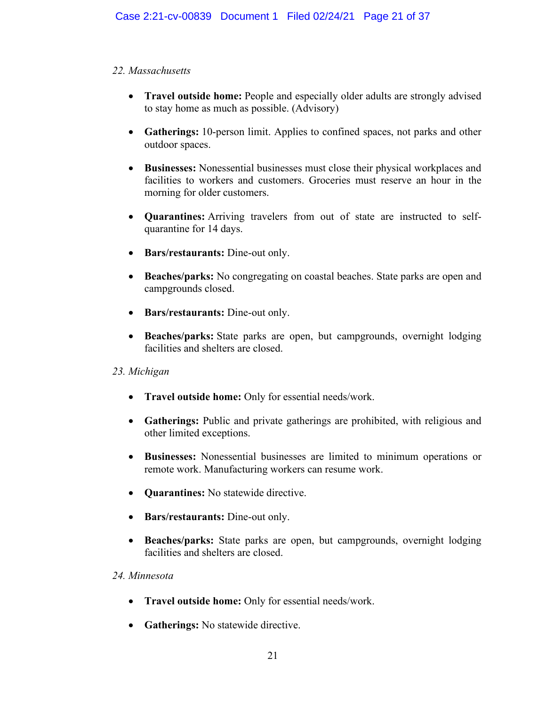# *22. Massachusetts*

- **Travel outside home:** People and especially older adults are strongly advised to stay home as much as possible. (Advisory)
- Gatherings: 10-person limit. Applies to confined spaces, not parks and other outdoor spaces.
- x **Businesses:** Nonessential businesses must close their physical workplaces and facilities to workers and customers. Groceries must reserve an hour in the morning for older customers.
- x **Quarantines:** Arriving travelers from out of state are instructed to selfquarantine for 14 days.
- **Bars/restaurants:** Dine-out only.
- Beaches/parks: No congregating on coastal beaches. State parks are open and campgrounds closed.
- **Bars/restaurants:** Dine-out only.
- **Beaches/parks:** State parks are open, but campgrounds, overnight lodging facilities and shelters are closed.

# *23. Michigan*

- x **Travel outside home:** Only for essential needs/work.
- Gatherings: Public and private gatherings are prohibited, with religious and other limited exceptions.
- x **Businesses:** Nonessential businesses are limited to minimum operations or remote work. Manufacturing workers can resume work.
- **Quarantines:** No statewide directive.
- **Bars/restaurants:** Dine-out only.
- **Beaches/parks:** State parks are open, but campgrounds, overnight lodging facilities and shelters are closed.

# *24. Minnesota*

- x **Travel outside home:** Only for essential needs/work.
- **Gatherings:** No statewide directive.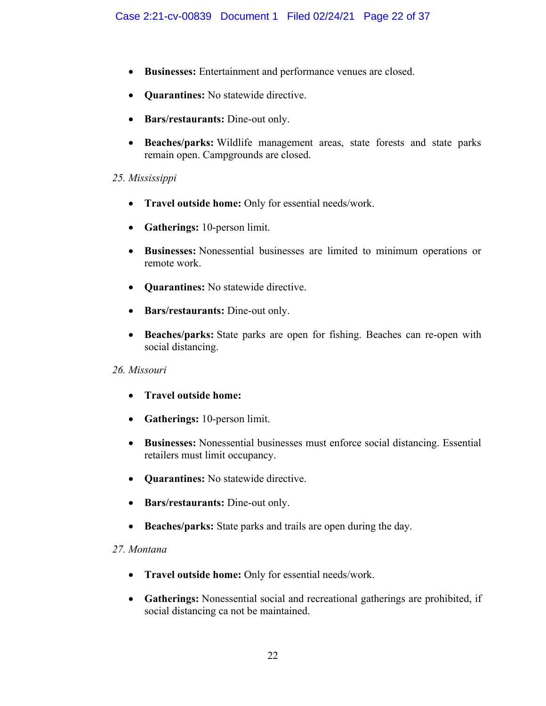- x **Businesses:** Entertainment and performance venues are closed.
- **Quarantines:** No statewide directive.
- **Bars/restaurants:** Dine-out only.
- x **Beaches/parks:** Wildlife management areas, state forests and state parks remain open. Campgrounds are closed.

#### *25. Mississippi*

- x **Travel outside home:** Only for essential needs/work.
- **Gatherings:** 10-person limit.
- x **Businesses:** Nonessential businesses are limited to minimum operations or remote work.
- **Quarantines:** No statewide directive.
- **Bars/restaurants:** Dine-out only.
- x **Beaches/parks:** State parks are open for fishing. Beaches can re-open with social distancing.

#### *26. Missouri*

- x **Travel outside home:**
- **Gatherings:** 10-person limit.
- x **Businesses:** Nonessential businesses must enforce social distancing. Essential retailers must limit occupancy.
- **Quarantines:** No statewide directive.
- **Bars/restaurants:** Dine-out only.
- **Beaches/parks:** State parks and trails are open during the day.

#### *27. Montana*

- x **Travel outside home:** Only for essential needs/work.
- x **Gatherings:** Nonessential social and recreational gatherings are prohibited, if social distancing ca not be maintained.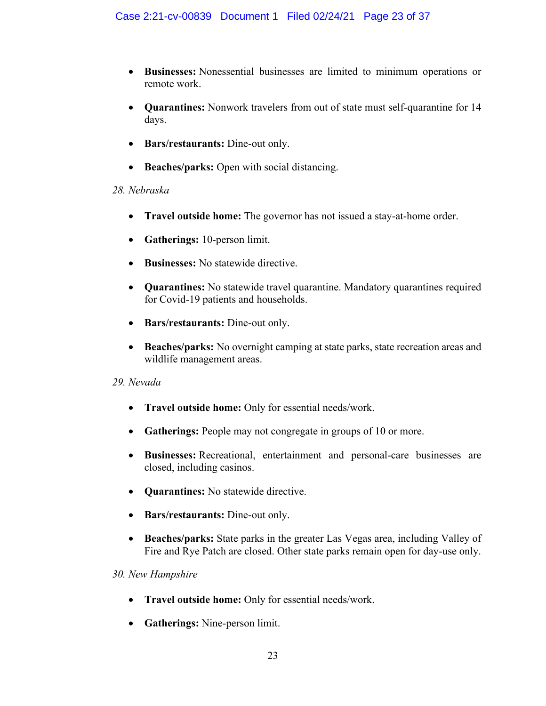- x **Businesses:** Nonessential businesses are limited to minimum operations or remote work.
- **Quarantines:** Nonwork travelers from out of state must self-quarantine for 14 days.
- **Bars/restaurants:** Dine-out only.
- **Beaches/parks:** Open with social distancing.

# *28. Nebraska*

- **Travel outside home:** The governor has not issued a stay-at-home order.
- **Gatherings:** 10-person limit.
- **Businesses:** No statewide directive.
- **Quarantines:** No statewide travel quarantine. Mandatory quarantines required for Covid-19 patients and households.
- **Bars/restaurants:** Dine-out only.
- **Beaches/parks:** No overnight camping at state parks, state recreation areas and wildlife management areas.

# *29. Nevada*

- x **Travel outside home:** Only for essential needs/work.
- **Gatherings:** People may not congregate in groups of 10 or more.
- x **Businesses:** Recreational, entertainment and personal-care businesses are closed, including casinos.
- **Quarantines:** No statewide directive.
- **Bars/restaurants:** Dine-out only.
- x **Beaches/parks:** State parks in the greater Las Vegas area, including Valley of Fire and Rye Patch are closed. Other state parks remain open for day-use only.

# *30. New Hampshire*

- x **Travel outside home:** Only for essential needs/work.
- **Gatherings:** Nine-person limit.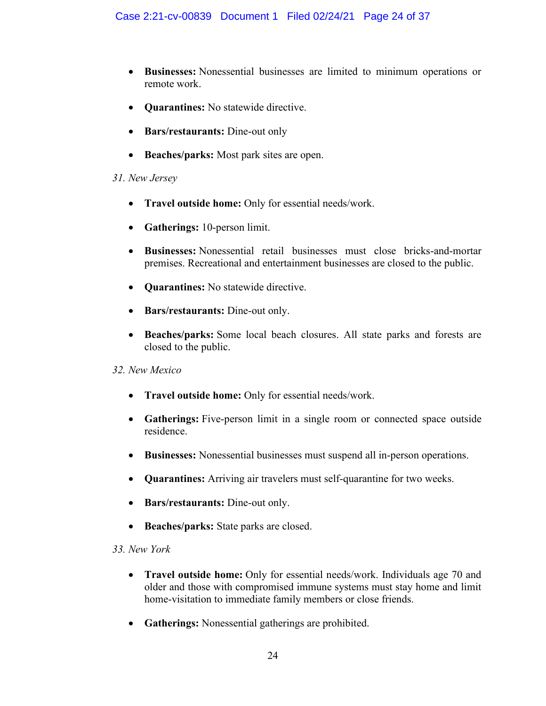- x **Businesses:** Nonessential businesses are limited to minimum operations or remote work.
- **Quarantines:** No statewide directive.
- **Bars/restaurants:** Dine-out only
- **Beaches/parks:** Most park sites are open.

#### *31. New Jersey*

- x **Travel outside home:** Only for essential needs/work.
- **Gatherings:** 10-person limit.
- x **Businesses:** Nonessential retail businesses must close bricks-and-mortar premises. Recreational and entertainment businesses are closed to the public.
- **Quarantines:** No statewide directive.
- **Bars/restaurants:** Dine-out only.
- x **Beaches/parks:** Some local beach closures. All state parks and forests are closed to the public.

# *32. New Mexico*

- x **Travel outside home:** Only for essential needs/work.
- Gatherings: Five-person limit in a single room or connected space outside residence.
- x **Businesses:** Nonessential businesses must suspend all in-person operations.
- x **Quarantines:** Arriving air travelers must self-quarantine for two weeks.
- **Bars/restaurants:** Dine-out only.
- **Beaches/parks:** State parks are closed.

# *33. New York*

- x **Travel outside home:** Only for essential needs/work. Individuals age 70 and older and those with compromised immune systems must stay home and limit home-visitation to immediate family members or close friends.
- **Gatherings:** Nonessential gatherings are prohibited.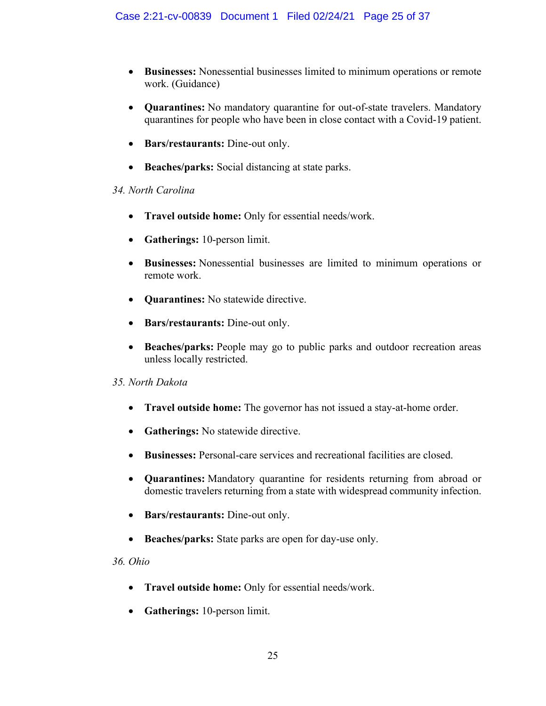- x **Businesses:** Nonessential businesses limited to minimum operations or remote work. (Guidance)
- **Quarantines:** No mandatory quarantine for out-of-state travelers. Mandatory quarantines for people who have been in close contact with a Covid-19 patient.
- **Bars/restaurants:** Dine-out only.
- **Beaches/parks:** Social distancing at state parks.

# *34. North Carolina*

- x **Travel outside home:** Only for essential needs/work.
- **Gatherings:** 10-person limit.
- x **Businesses:** Nonessential businesses are limited to minimum operations or remote work.
- **Quarantines:** No statewide directive.
- **Bars/restaurants:** Dine-out only.
- **Beaches/parks:** People may go to public parks and outdoor recreation areas unless locally restricted.

# *35. North Dakota*

- **Travel outside home:** The governor has not issued a stay-at-home order.
- **•** Gatherings: No statewide directive.
- x **Businesses:** Personal-care services and recreational facilities are closed.
- x **Quarantines:** Mandatory quarantine for residents returning from abroad or domestic travelers returning from a state with widespread community infection.
- x **Bars/restaurants:** Dine-out only.
- Beaches/parks: State parks are open for day-use only.

*36. Ohio*

- x **Travel outside home:** Only for essential needs/work.
- **Gatherings:** 10-person limit.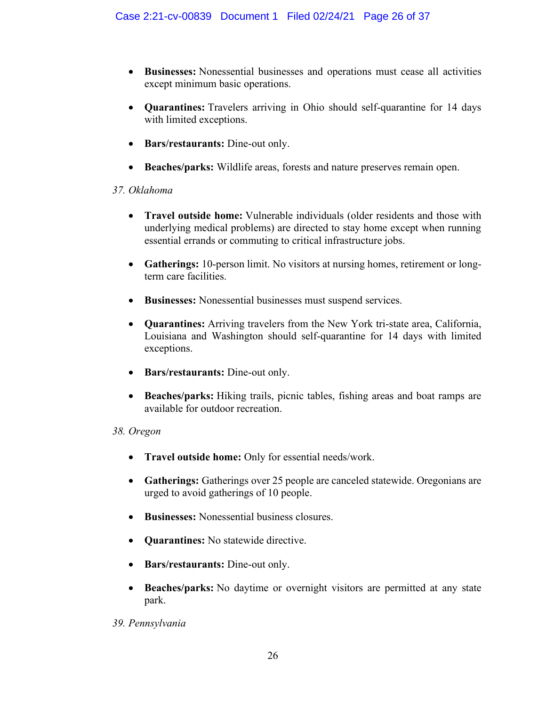- x **Businesses:** Nonessential businesses and operations must cease all activities except minimum basic operations.
- x **Quarantines:** Travelers arriving in Ohio should self-quarantine for 14 days with limited exceptions.
- **Bars/restaurants:** Dine-out only.
- x **Beaches/parks:** Wildlife areas, forests and nature preserves remain open.

# *37. Oklahoma*

- x **Travel outside home:** Vulnerable individuals (older residents and those with underlying medical problems) are directed to stay home except when running essential errands or commuting to critical infrastructure jobs.
- Gatherings: 10-person limit. No visitors at nursing homes, retirement or longterm care facilities.
- x **Businesses:** Nonessential businesses must suspend services.
- x **Quarantines:** Arriving travelers from the New York tri-state area, California, Louisiana and Washington should self-quarantine for 14 days with limited exceptions.
- **Bars/restaurants:** Dine-out only.
- x **Beaches/parks:** Hiking trails, picnic tables, fishing areas and boat ramps are available for outdoor recreation.

# *38. Oregon*

- x **Travel outside home:** Only for essential needs/work.
- Gatherings: Gatherings over 25 people are canceled statewide. Oregonians are urged to avoid gatherings of 10 people.
- x **Businesses:** Nonessential business closures.
- **Quarantines:** No statewide directive.
- **Bars/restaurants:** Dine-out only.
- **Beaches/parks:** No daytime or overnight visitors are permitted at any state park.

# *39. Pennsylvania*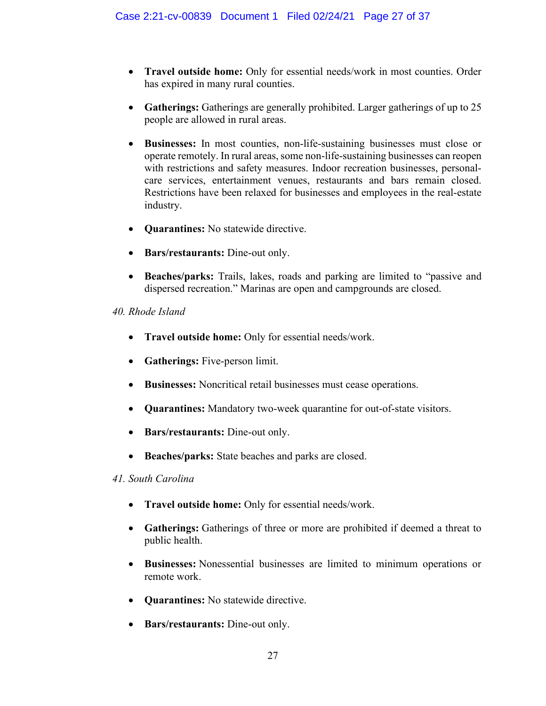- x **Travel outside home:** Only for essential needs/work in most counties. Order has expired in many rural counties.
- Gatherings: Gatherings are generally prohibited. Larger gatherings of up to 25 people are allowed in rural areas.
- x **Businesses:** In most counties, non-life-sustaining businesses must close or operate remotely. In rural areas, some non-life-sustaining businesses can reopen with restrictions and safety measures. Indoor recreation businesses, personalcare services, entertainment venues, restaurants and bars remain closed. Restrictions have been relaxed for businesses and employees in the real-estate industry.
- **Quarantines:** No statewide directive.
- **Bars/restaurants:** Dine-out only.
- **Beaches/parks:** Trails, lakes, roads and parking are limited to "passive and dispersed recreation." Marinas are open and campgrounds are closed.

#### *40. Rhode Island*

- x **Travel outside home:** Only for essential needs/work.
- **Gatherings:** Five-person limit.
- x **Businesses:** Noncritical retail businesses must cease operations.
- **Quarantines:** Mandatory two-week quarantine for out-of-state visitors.
- **Bars/restaurants:** Dine-out only.
- **Beaches/parks:** State beaches and parks are closed.

#### *41. South Carolina*

- x **Travel outside home:** Only for essential needs/work.
- Gatherings: Gatherings of three or more are prohibited if deemed a threat to public health.
- x **Businesses:** Nonessential businesses are limited to minimum operations or remote work.
- **Quarantines:** No statewide directive.
- **Bars/restaurants:** Dine-out only.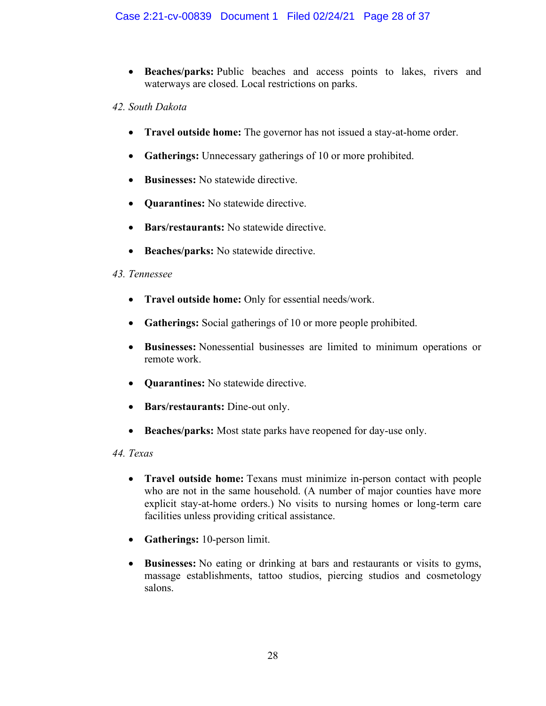**• Beaches/parks:** Public beaches and access points to lakes, rivers and waterways are closed. Local restrictions on parks.

#### *42. South Dakota*

- **Travel outside home:** The governor has not issued a stay-at-home order.
- **Gatherings:** Unnecessary gatherings of 10 or more prohibited.
- **Businesses:** No statewide directive.
- **Quarantines:** No statewide directive.
- **Bars/restaurants:** No statewide directive.
- **•** Beaches/parks: No statewide directive.

# *43. Tennessee*

- x **Travel outside home:** Only for essential needs/work.
- Gatherings: Social gatherings of 10 or more people prohibited.
- x **Businesses:** Nonessential businesses are limited to minimum operations or remote work.
- **Quarantines:** No statewide directive.
- **Bars/restaurants:** Dine-out only.
- **Beaches/parks:** Most state parks have reopened for day-use only.

# *44. Texas*

- x **Travel outside home:** Texans must minimize in-person contact with people who are not in the same household. (A number of major counties have more explicit stay-at-home orders.) No visits to nursing homes or long-term care facilities unless providing critical assistance.
- **Gatherings:** 10-person limit.
- x **Businesses:** No eating or drinking at bars and restaurants or visits to gyms, massage establishments, tattoo studios, piercing studios and cosmetology salons.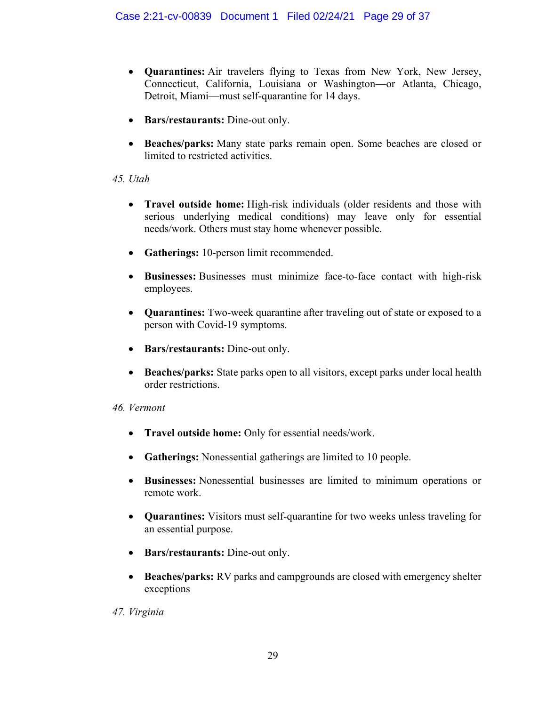- x **Quarantines:** Air travelers flying to Texas from New York, New Jersey, Connecticut, California, Louisiana or Washington-or Atlanta, Chicago, Detroit, Miami—must self-quarantine for 14 days.
- **Bars/restaurants:** Dine-out only.
- x **Beaches/parks:** Many state parks remain open. Some beaches are closed or limited to restricted activities.

#### *45. Utah*

- x **Travel outside home:** High-risk individuals (older residents and those with serious underlying medical conditions) may leave only for essential needs/work. Others must stay home whenever possible.
- Gatherings: 10-person limit recommended.
- x **Businesses:** Businesses must minimize face-to-face contact with high-risk employees.
- **Quarantines:** Two-week quarantine after traveling out of state or exposed to a person with Covid-19 symptoms.
- **Bars/restaurants:** Dine-out only.
- Beaches/parks: State parks open to all visitors, except parks under local health order restrictions.

#### *46. Vermont*

- x **Travel outside home:** Only for essential needs/work.
- **Gatherings:** Nonessential gatherings are limited to 10 people.
- x **Businesses:** Nonessential businesses are limited to minimum operations or remote work.
- **Quarantines:** Visitors must self-quarantine for two weeks unless traveling for an essential purpose.
- **Bars/restaurants:** Dine-out only.
- **Beaches/parks:** RV parks and campgrounds are closed with emergency shelter exceptions

# *47. Virginia*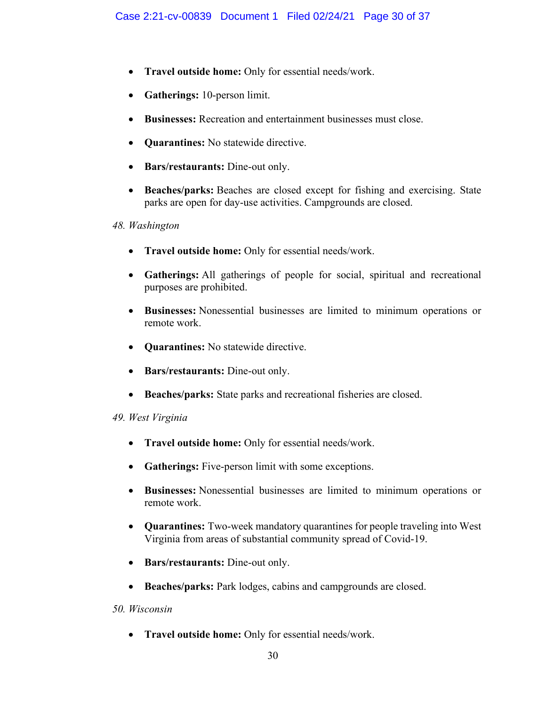- x **Travel outside home:** Only for essential needs/work.
- **Gatherings:** 10-person limit.
- x **Businesses:** Recreation and entertainment businesses must close.
- **Quarantines:** No statewide directive.
- Bars/restaurants: Dine-out only.
- **Beaches/parks:** Beaches are closed except for fishing and exercising. State parks are open for day-use activities. Campgrounds are closed.

#### *48. Washington*

- x **Travel outside home:** Only for essential needs/work.
- x **Gatherings:** All gatherings of people for social, spiritual and recreational purposes are prohibited.
- x **Businesses:** Nonessential businesses are limited to minimum operations or remote work.
- **Quarantines:** No statewide directive.
- **Bars/restaurants:** Dine-out only.
- **Beaches/parks:** State parks and recreational fisheries are closed.

# *49. West Virginia*

- x **Travel outside home:** Only for essential needs/work.
- **Gatherings:** Five-person limit with some exceptions.
- x **Businesses:** Nonessential businesses are limited to minimum operations or remote work.
- **Quarantines:** Two-week mandatory quarantines for people traveling into West Virginia from areas of substantial community spread of Covid-19.
- **Bars/restaurants:** Dine-out only.
- **Beaches/parks:** Park lodges, cabins and campgrounds are closed.

# *50. Wisconsin*

x **Travel outside home:** Only for essential needs/work.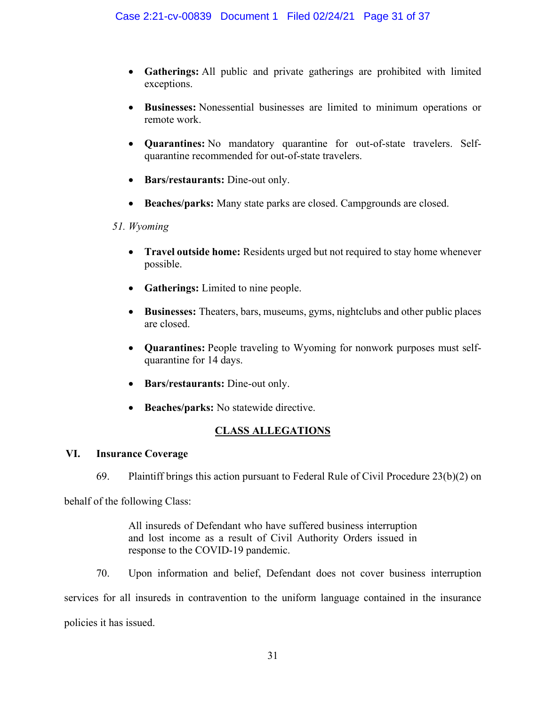- x **Gatherings:** All public and private gatherings are prohibited with limited exceptions.
- x **Businesses:** Nonessential businesses are limited to minimum operations or remote work.
- x **Quarantines:** No mandatory quarantine for out-of-state travelers. Selfquarantine recommended for out-of-state travelers.
- **Bars/restaurants:** Dine-out only.
- x **Beaches/parks:** Many state parks are closed. Campgrounds are closed.

# *51. Wyoming*

- x **Travel outside home:** Residents urged but not required to stay home whenever possible.
- **Gatherings:** Limited to nine people.
- x **Businesses:** Theaters, bars, museums, gyms, nightclubs and other public places are closed.
- **Quarantines:** People traveling to Wyoming for nonwork purposes must selfquarantine for 14 days.
- **Bars/restaurants:** Dine-out only.
- **Beaches/parks:** No statewide directive.

# **CLASS ALLEGATIONS**

# **VI. Insurance Coverage**

69. Plaintiff brings this action pursuant to Federal Rule of Civil Procedure 23(b)(2) on

behalf of the following Class:

All insureds of Defendant who have suffered business interruption and lost income as a result of Civil Authority Orders issued in response to the COVID-19 pandemic.

70. Upon information and belief, Defendant does not cover business interruption services for all insureds in contravention to the uniform language contained in the insurance policies it has issued.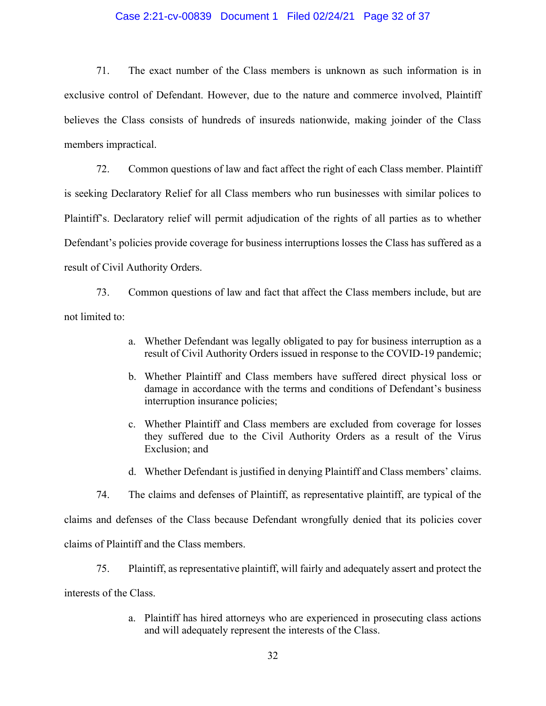#### Case 2:21-cv-00839 Document 1 Filed 02/24/21 Page 32 of 37

71. The exact number of the Class members is unknown as such information is in exclusive control of Defendant. However, due to the nature and commerce involved, Plaintiff believes the Class consists of hundreds of insureds nationwide, making joinder of the Class members impractical.

72. Common questions of law and fact affect the right of each Class member. Plaintiff is seeking Declaratory Relief for all Class members who run businesses with similar polices to Plaintiff's. Declaratory relief will permit adjudication of the rights of all parties as to whether Defendant's policies provide coverage for business interruptions losses the Class has suffered as a result of Civil Authority Orders.

73. Common questions of law and fact that affect the Class members include, but are not limited to:

- a. Whether Defendant was legally obligated to pay for business interruption as a result of Civil Authority Orders issued in response to the COVID-19 pandemic;
- b. Whether Plaintiff and Class members have suffered direct physical loss or damage in accordance with the terms and conditions of Defendant's business interruption insurance policies;
- c. Whether Plaintiff and Class members are excluded from coverage for losses they suffered due to the Civil Authority Orders as a result of the Virus Exclusion; and
- d. Whether Defendant is justified in denying Plaintiff and Class members' claims.

74. The claims and defenses of Plaintiff, as representative plaintiff, are typical of the

claims and defenses of the Class because Defendant wrongfully denied that its policies cover

claims of Plaintiff and the Class members.

75. Plaintiff, as representative plaintiff, will fairly and adequately assert and protect the

interests of the Class.

a. Plaintiff has hired attorneys who are experienced in prosecuting class actions and will adequately represent the interests of the Class.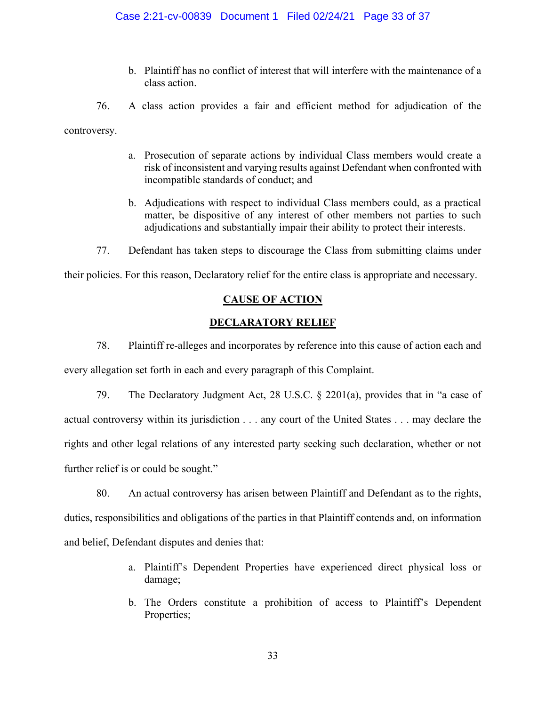b. Plaintiff has no conflict of interest that will interfere with the maintenance of a class action.

76. A class action provides a fair and efficient method for adjudication of the controversy.

- a. Prosecution of separate actions by individual Class members would create a risk of inconsistent and varying results against Defendant when confronted with incompatible standards of conduct; and
- b. Adjudications with respect to individual Class members could, as a practical matter, be dispositive of any interest of other members not parties to such adjudications and substantially impair their ability to protect their interests.
- 77. Defendant has taken steps to discourage the Class from submitting claims under

their policies. For this reason, Declaratory relief for the entire class is appropriate and necessary.

# **CAUSE OF ACTION**

# **DECLARATORY RELIEF**

78. Plaintiff re-alleges and incorporates by reference into this cause of action each and every allegation set forth in each and every paragraph of this Complaint.

79. The Declaratory Judgment Act, 28 U.S.C.  $\S$  2201(a), provides that in "a case of actual controversy within its jurisdiction . . . any court of the United States . . . may declare the rights and other legal relations of any interested party seeking such declaration, whether or not further relief is or could be sought."

80. An actual controversy has arisen between Plaintiff and Defendant as to the rights, duties, responsibilities and obligations of the parties in that Plaintiff contends and, on information and belief, Defendant disputes and denies that:

- a. Plaintiff's Dependent Properties have experienced direct physical loss or damage;
- b. The Orders constitute a prohibition of access to Plaintiff's Dependent Properties;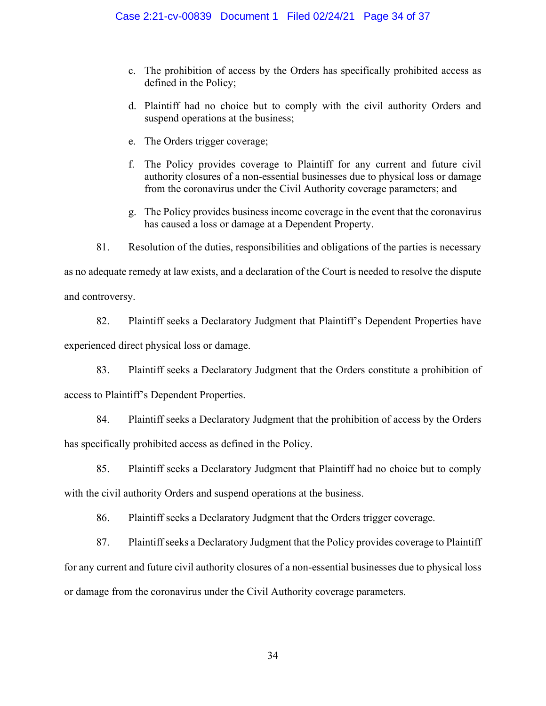- c. The prohibition of access by the Orders has specifically prohibited access as defined in the Policy;
- d. Plaintiff had no choice but to comply with the civil authority Orders and suspend operations at the business;
- e. The Orders trigger coverage;
- f. The Policy provides coverage to Plaintiff for any current and future civil authority closures of a non-essential businesses due to physical loss or damage from the coronavirus under the Civil Authority coverage parameters; and
- g. The Policy provides business income coverage in the event that the coronavirus has caused a loss or damage at a Dependent Property.

81. Resolution of the duties, responsibilities and obligations of the parties is necessary as no adequate remedy at law exists, and a declaration of the Court is needed to resolve the dispute

and controversy.

82. Plaintiff seeks a Declaratory Judgment that Plaintiff's Dependent Properties have experienced direct physical loss or damage.

83. Plaintiff seeks a Declaratory Judgment that the Orders constitute a prohibition of access to Plaintiff's Dependent Properties.

84. Plaintiff seeks a Declaratory Judgment that the prohibition of access by the Orders has specifically prohibited access as defined in the Policy.

85. Plaintiff seeks a Declaratory Judgment that Plaintiff had no choice but to comply with the civil authority Orders and suspend operations at the business.

86. Plaintiff seeks a Declaratory Judgment that the Orders trigger coverage.

87. Plaintiff seeks a Declaratory Judgment that the Policy provides coverage to Plaintiff for any current and future civil authority closures of a non-essential businesses due to physical loss or damage from the coronavirus under the Civil Authority coverage parameters.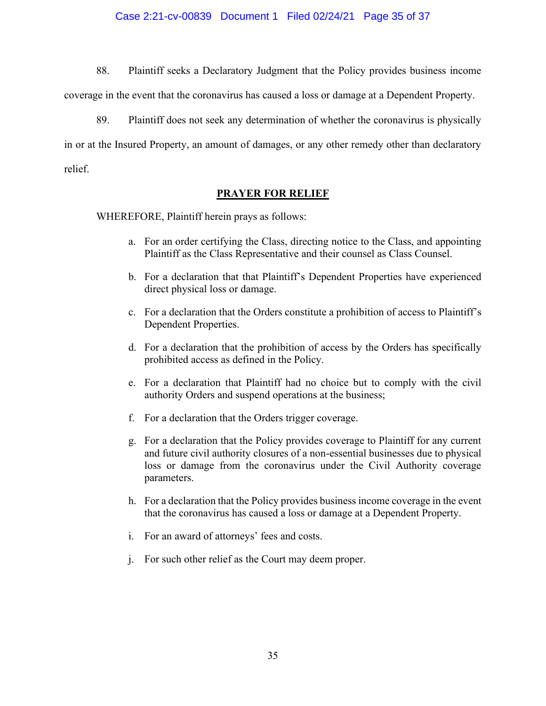#### Case 2:21-cv-00839 Document 1 Filed 02/24/21 Page 35 of 37

88. Plaintiff seeks a Declaratory Judgment that the Policy provides business income

coverage in the event that the coronavirus has caused a loss or damage at a Dependent Property.

89. Plaintiff does not seek any determination of whether the coronavirus is physically in or at the Insured Property, an amount of damages, or any other remedy other than declaratory relief.

#### **PRAYER FOR RELIEF**

WHEREFORE, Plaintiff herein prays as follows:

- a. For an order certifying the Class, directing notice to the Class, and appointing Plaintiff as the Class Representative and their counsel as Class Counsel.
- b. For a declaration that that Plaintiff's Dependent Properties have experienced direct physical loss or damage.
- c. For a declaration that the Orders constitute a prohibition of access to Plaintiff's Dependent Properties.
- d. For a declaration that the prohibition of access by the Orders has specifically prohibited access as defined in the Policy.
- e. For a declaration that Plaintiff had no choice but to comply with the civil authority Orders and suspend operations at the business;
- f. For a declaration that the Orders trigger coverage.
- g. For a declaration that the Policy provides coverage to Plaintiff for any current and future civil authority closures of a non-essential businesses due to physical loss or damage from the coronavirus under the Civil Authority coverage parameters.
- h. For a declaration that the Policy provides business income coverage in the event that the coronavirus has caused a loss or damage at a Dependent Property.
- i. For an award of attorneys' fees and costs.
- j. For such other relief as the Court may deem proper.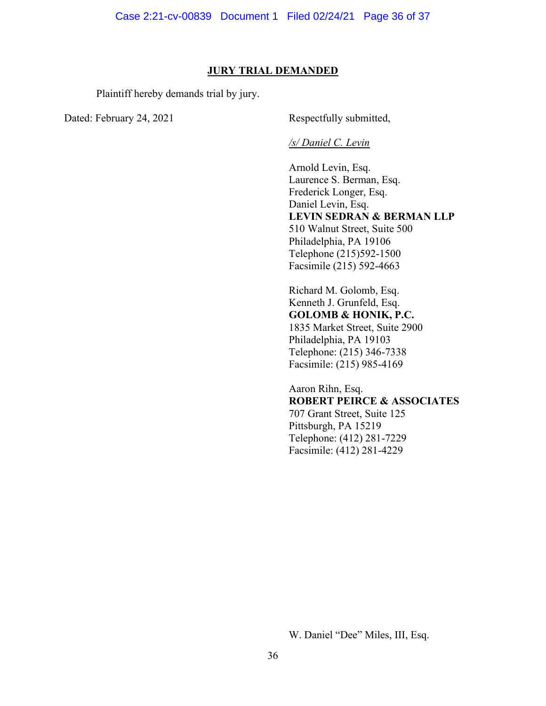#### **JURY TRIAL DEMANDED**

Plaintiff hereby demands trial by jury.

Dated: February 24, 2021 Respectfully submitted,

#### */s/ Daniel C. Levin*

Arnold Levin, Esq. Laurence S. Berman, Esq. Frederick Longer, Esq. Daniel Levin, Esq. **LEVIN SEDRAN & BERMAN LLP** 510 Walnut Street, Suite 500 Philadelphia, PA 19106 Telephone (215)592-1500 Facsimile (215) 592-4663

Richard M. Golomb, Esq. Kenneth J. Grunfeld, Esq. **GOLOMB & HONIK, P.C.** 1835 Market Street, Suite 2900 Philadelphia, PA 19103 Telephone: (215) 346-7338 Facsimile: (215) 985-4169

Aaron Rihn, Esq. **ROBERT PEIRCE & ASSOCIATES** 707 Grant Street, Suite 125 Pittsburgh, PA 15219 Telephone: (412) 281-7229 Facsimile: (412) 281-4229

W. Daniel "Dee" Miles, III, Esq.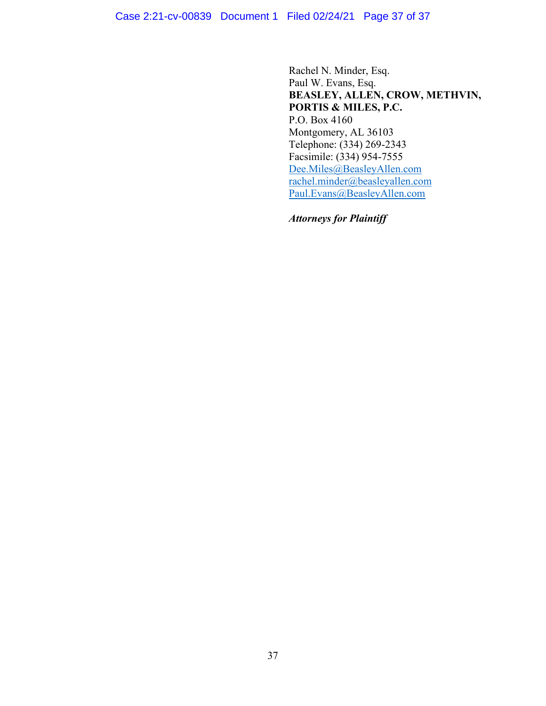Rachel N. Minder, Esq. Paul W. Evans, Esq. **BEASLEY, ALLEN, CROW, METHVIN, PORTIS & MILES, P.C.** P.O. Box 4160 Montgomery, AL 36103 Telephone: (334) 269-2343 Facsimile: (334) 954-7555 [Dee.Miles@BeasleyAllen.com](mailto:Dee.Miles@BeasleyAllen.com) [rachel.minder@beasleyallen.com](mailto:rachel.minder@beasleyallen.com) [Paul.Evans@BeasleyAllen.com](mailto:Paul.Evans@BeasleyAllen.com)

*Attorneys for Plaintiff*